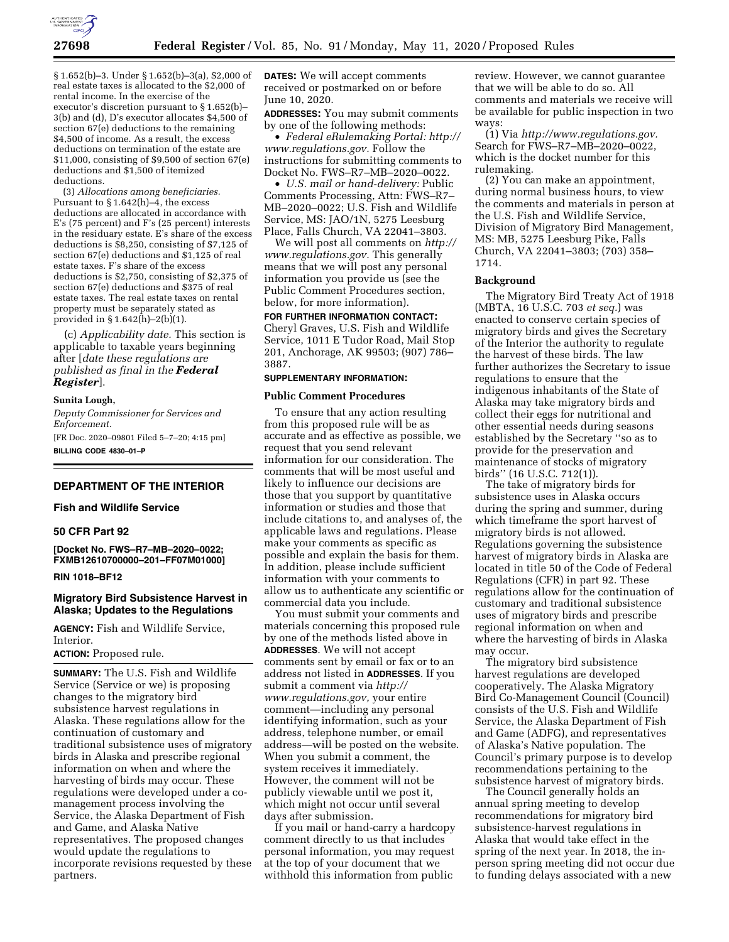

§ 1.652(b)–3. Under § 1.652(b)–3(a), \$2,000 of real estate taxes is allocated to the \$2,000 of rental income. In the exercise of the executor's discretion pursuant to § 1.652(b)– 3(b) and (d), D's executor allocates \$4,500 of section 67(e) deductions to the remaining \$4,500 of income. As a result, the excess deductions on termination of the estate are \$11,000, consisting of \$9,500 of section 67(e) deductions and \$1,500 of itemized deductions.

(3) *Allocations among beneficiaries.*  Pursuant to  $§ 1.642(h) - 4$ , the excess deductions are allocated in accordance with E's (75 percent) and F's (25 percent) interests in the residuary estate. E's share of the excess deductions is \$8,250, consisting of \$7,125 of section 67(e) deductions and \$1,125 of real estate taxes. F's share of the excess deductions is \$2,750, consisting of \$2,375 of section 67(e) deductions and \$375 of real estate taxes. The real estate taxes on rental property must be separately stated as provided in § 1.642(h)–2(b)(1).

(c) *Applicability date.* This section is applicable to taxable years beginning after [*date these regulations are published as final in the Federal Register*].

#### **Sunita Lough,**

*Deputy Commissioner for Services and Enforcement.* 

[FR Doc. 2020–09801 Filed 5–7–20; 4:15 pm] **BILLING CODE 4830–01–P** 

# **DEPARTMENT OF THE INTERIOR**

### **Fish and Wildlife Service**

# **50 CFR Part 92**

**[Docket No. FWS–R7–MB–2020–0022; FXMB12610700000–201–FF07M01000]** 

# **RIN 1018–BF12**

### **Migratory Bird Subsistence Harvest in Alaska; Updates to the Regulations**

**AGENCY:** Fish and Wildlife Service, Interior.

**ACTION:** Proposed rule.

**SUMMARY:** The U.S. Fish and Wildlife Service (Service or we) is proposing changes to the migratory bird subsistence harvest regulations in Alaska. These regulations allow for the continuation of customary and traditional subsistence uses of migratory birds in Alaska and prescribe regional information on when and where the harvesting of birds may occur. These regulations were developed under a comanagement process involving the Service, the Alaska Department of Fish and Game, and Alaska Native representatives. The proposed changes would update the regulations to incorporate revisions requested by these partners.

**DATES:** We will accept comments received or postmarked on or before June 10, 2020.

**ADDRESSES:** You may submit comments by one of the following methods:

• *Federal eRulemaking Portal: [http://](http://www.regulations.gov)  [www.regulations.gov.](http://www.regulations.gov)* Follow the instructions for submitting comments to Docket No. FWS–R7–MB–2020–0022.

• *U.S. mail or hand-delivery:* Public Comments Processing, Attn: FWS–R7– MB–2020–0022; U.S. Fish and Wildlife Service, MS: JAO/1N, 5275 Leesburg Place, Falls Church, VA 22041–3803.

We will post all comments on *[http://](http://www.regulations.gov) [www.regulations.gov.](http://www.regulations.gov)* This generally means that we will post any personal information you provide us (see the Public Comment Procedures section, below, for more information).

# **FOR FURTHER INFORMATION CONTACT:**

Cheryl Graves, U.S. Fish and Wildlife Service, 1011 E Tudor Road, Mail Stop 201, Anchorage, AK 99503; (907) 786– 3887.

#### **SUPPLEMENTARY INFORMATION:**

### **Public Comment Procedures**

To ensure that any action resulting from this proposed rule will be as accurate and as effective as possible, we request that you send relevant information for our consideration. The comments that will be most useful and likely to influence our decisions are those that you support by quantitative information or studies and those that include citations to, and analyses of, the applicable laws and regulations. Please make your comments as specific as possible and explain the basis for them. In addition, please include sufficient information with your comments to allow us to authenticate any scientific or commercial data you include.

You must submit your comments and materials concerning this proposed rule by one of the methods listed above in **ADDRESSES**. We will not accept comments sent by email or fax or to an address not listed in **ADDRESSES**. If you submit a comment via *[http://](http://www.regulations.gov) [www.regulations.gov,](http://www.regulations.gov)* your entire comment—including any personal identifying information, such as your address, telephone number, or email address—will be posted on the website. When you submit a comment, the system receives it immediately. However, the comment will not be publicly viewable until we post it, which might not occur until several days after submission.

If you mail or hand-carry a hardcopy comment directly to us that includes personal information, you may request at the top of your document that we withhold this information from public

review. However, we cannot guarantee that we will be able to do so. All comments and materials we receive will be available for public inspection in two ways:

(1) Via *[http://www.regulations.gov.](http://www.regulations.gov)*  Search for FWS–R7–MB–2020–0022, which is the docket number for this rulemaking.

(2) You can make an appointment, during normal business hours, to view the comments and materials in person at the U.S. Fish and Wildlife Service, Division of Migratory Bird Management, MS: MB, 5275 Leesburg Pike, Falls Church, VA 22041–3803; (703) 358– 1714.

#### **Background**

The Migratory Bird Treaty Act of 1918 (MBTA, 16 U.S.C. 703 *et seq.*) was enacted to conserve certain species of migratory birds and gives the Secretary of the Interior the authority to regulate the harvest of these birds. The law further authorizes the Secretary to issue regulations to ensure that the indigenous inhabitants of the State of Alaska may take migratory birds and collect their eggs for nutritional and other essential needs during seasons established by the Secretary ''so as to provide for the preservation and maintenance of stocks of migratory birds'' (16 U.S.C. 712(1)).

The take of migratory birds for subsistence uses in Alaska occurs during the spring and summer, during which timeframe the sport harvest of migratory birds is not allowed. Regulations governing the subsistence harvest of migratory birds in Alaska are located in title 50 of the Code of Federal Regulations (CFR) in part 92. These regulations allow for the continuation of customary and traditional subsistence uses of migratory birds and prescribe regional information on when and where the harvesting of birds in Alaska may occur.

The migratory bird subsistence harvest regulations are developed cooperatively. The Alaska Migratory Bird Co-Management Council (Council) consists of the U.S. Fish and Wildlife Service, the Alaska Department of Fish and Game (ADFG), and representatives of Alaska's Native population. The Council's primary purpose is to develop recommendations pertaining to the subsistence harvest of migratory birds.

The Council generally holds an annual spring meeting to develop recommendations for migratory bird subsistence-harvest regulations in Alaska that would take effect in the spring of the next year. In 2018, the inperson spring meeting did not occur due to funding delays associated with a new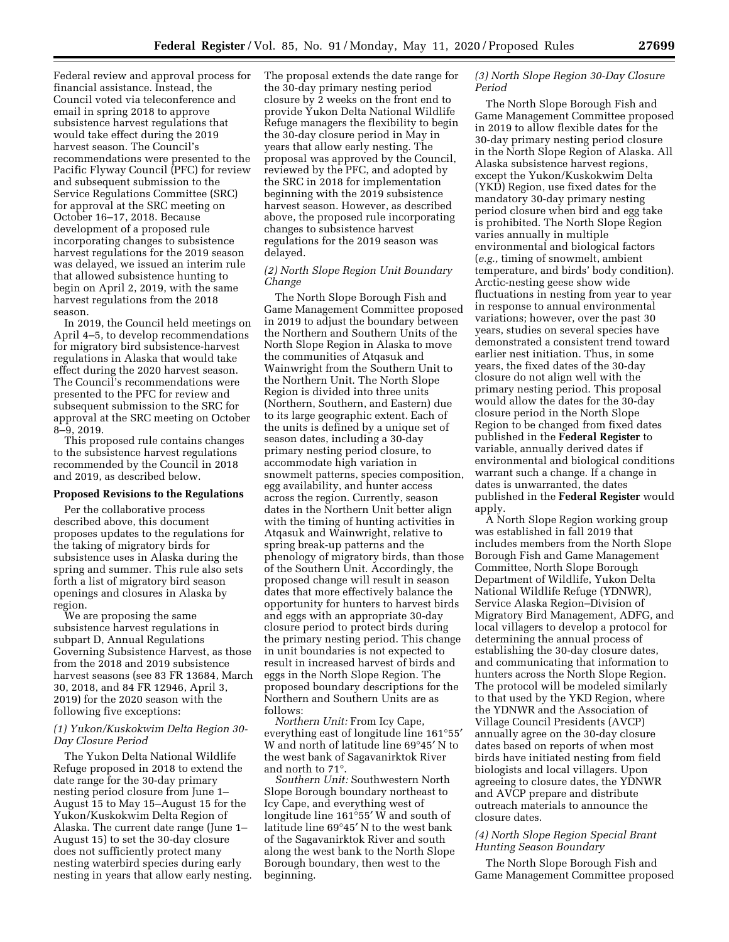Federal review and approval process for financial assistance. Instead, the Council voted via teleconference and email in spring 2018 to approve subsistence harvest regulations that would take effect during the 2019 harvest season. The Council's recommendations were presented to the Pacific Flyway Council (PFC) for review and subsequent submission to the Service Regulations Committee (SRC) for approval at the SRC meeting on October 16–17, 2018. Because development of a proposed rule incorporating changes to subsistence harvest regulations for the 2019 season was delayed, we issued an interim rule that allowed subsistence hunting to begin on April 2, 2019, with the same harvest regulations from the 2018 season.

In 2019, the Council held meetings on April 4–5, to develop recommendations for migratory bird subsistence-harvest regulations in Alaska that would take effect during the 2020 harvest season. The Council's recommendations were presented to the PFC for review and subsequent submission to the SRC for approval at the SRC meeting on October 8–9, 2019.

This proposed rule contains changes to the subsistence harvest regulations recommended by the Council in 2018 and 2019, as described below.

#### **Proposed Revisions to the Regulations**

Per the collaborative process described above, this document proposes updates to the regulations for the taking of migratory birds for subsistence uses in Alaska during the spring and summer. This rule also sets forth a list of migratory bird season openings and closures in Alaska by region.

We are proposing the same subsistence harvest regulations in subpart D, Annual Regulations Governing Subsistence Harvest, as those from the 2018 and 2019 subsistence harvest seasons (see 83 FR 13684, March 30, 2018, and 84 FR 12946, April 3, 2019) for the 2020 season with the following five exceptions:

### *(1) Yukon/Kuskokwim Delta Region 30- Day Closure Period*

The Yukon Delta National Wildlife Refuge proposed in 2018 to extend the date range for the 30-day primary nesting period closure from June 1– August 15 to May 15–August 15 for the Yukon/Kuskokwim Delta Region of Alaska. The current date range (June 1– August 15) to set the 30-day closure does not sufficiently protect many nesting waterbird species during early nesting in years that allow early nesting. The proposal extends the date range for the 30-day primary nesting period closure by 2 weeks on the front end to provide Yukon Delta National Wildlife Refuge managers the flexibility to begin the 30-day closure period in May in years that allow early nesting. The proposal was approved by the Council, reviewed by the PFC, and adopted by the SRC in 2018 for implementation beginning with the 2019 subsistence harvest season. However, as described above, the proposed rule incorporating changes to subsistence harvest regulations for the 2019 season was delayed.

## *(2) North Slope Region Unit Boundary Change*

The North Slope Borough Fish and Game Management Committee proposed in 2019 to adjust the boundary between the Northern and Southern Units of the North Slope Region in Alaska to move the communities of Atqasuk and Wainwright from the Southern Unit to the Northern Unit. The North Slope Region is divided into three units (Northern, Southern, and Eastern) due to its large geographic extent. Each of the units is defined by a unique set of season dates, including a 30-day primary nesting period closure, to accommodate high variation in snowmelt patterns, species composition, egg availability, and hunter access across the region. Currently, season dates in the Northern Unit better align with the timing of hunting activities in Atqasuk and Wainwright, relative to spring break-up patterns and the phenology of migratory birds, than those of the Southern Unit. Accordingly, the proposed change will result in season dates that more effectively balance the opportunity for hunters to harvest birds and eggs with an appropriate 30-day closure period to protect birds during the primary nesting period. This change in unit boundaries is not expected to result in increased harvest of birds and eggs in the North Slope Region. The proposed boundary descriptions for the Northern and Southern Units are as follows:

*Northern Unit:* From Icy Cape, everything east of longitude line 161°55′ W and north of latitude line 69°45′ N to the west bank of Sagavanirktok River and north to 71°.

*Southern Unit:* Southwestern North Slope Borough boundary northeast to Icy Cape, and everything west of longitude line 161°55′ W and south of latitude line 69°45′ N to the west bank of the Sagavanirktok River and south along the west bank to the North Slope Borough boundary, then west to the beginning.

# *(3) North Slope Region 30-Day Closure Period*

The North Slope Borough Fish and Game Management Committee proposed in 2019 to allow flexible dates for the 30-day primary nesting period closure in the North Slope Region of Alaska. All Alaska subsistence harvest regions, except the Yukon/Kuskokwim Delta (YKD) Region, use fixed dates for the mandatory 30-day primary nesting period closure when bird and egg take is prohibited. The North Slope Region varies annually in multiple environmental and biological factors (*e.g.,* timing of snowmelt, ambient temperature, and birds' body condition). Arctic-nesting geese show wide fluctuations in nesting from year to year in response to annual environmental variations; however, over the past 30 years, studies on several species have demonstrated a consistent trend toward earlier nest initiation. Thus, in some years, the fixed dates of the 30-day closure do not align well with the primary nesting period. This proposal would allow the dates for the 30-day closure period in the North Slope Region to be changed from fixed dates published in the **Federal Register** to variable, annually derived dates if environmental and biological conditions warrant such a change. If a change in dates is unwarranted, the dates published in the **Federal Register** would apply.

A North Slope Region working group was established in fall 2019 that includes members from the North Slope Borough Fish and Game Management Committee, North Slope Borough Department of Wildlife, Yukon Delta National Wildlife Refuge (YDNWR), Service Alaska Region–Division of Migratory Bird Management, ADFG, and local villagers to develop a protocol for determining the annual process of establishing the 30-day closure dates, and communicating that information to hunters across the North Slope Region. The protocol will be modeled similarly to that used by the YKD Region, where the YDNWR and the Association of Village Council Presidents (AVCP) annually agree on the 30-day closure dates based on reports of when most birds have initiated nesting from field biologists and local villagers. Upon agreeing to closure dates, the YDNWR and AVCP prepare and distribute outreach materials to announce the closure dates.

# *(4) North Slope Region Special Brant Hunting Season Boundary*

The North Slope Borough Fish and Game Management Committee proposed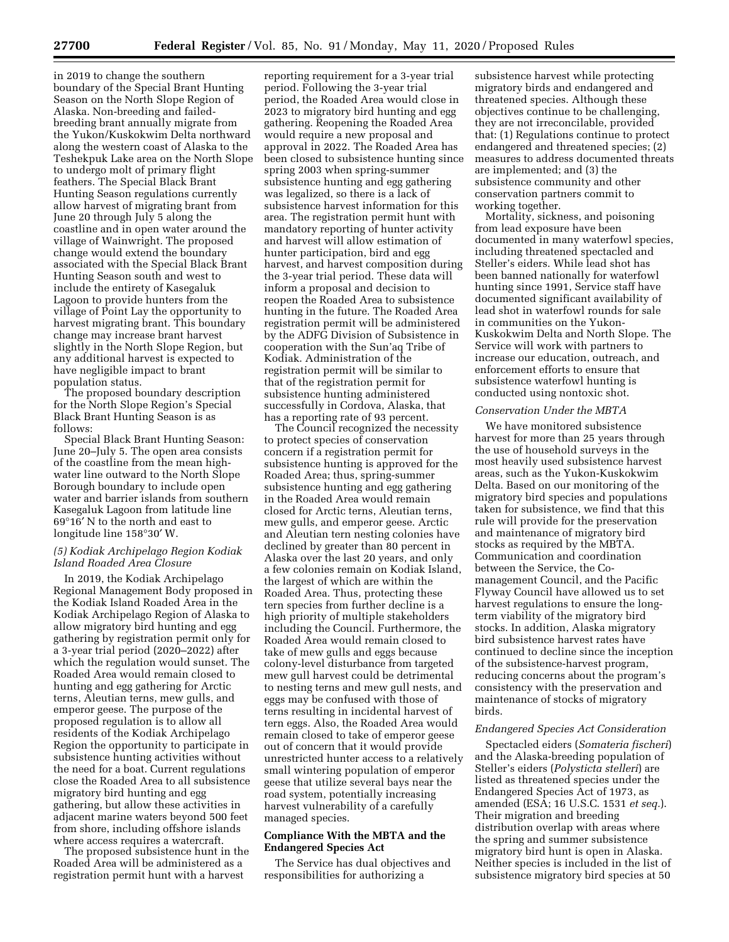in 2019 to change the southern boundary of the Special Brant Hunting Season on the North Slope Region of Alaska. Non-breeding and failedbreeding brant annually migrate from the Yukon/Kuskokwim Delta northward along the western coast of Alaska to the Teshekpuk Lake area on the North Slope to undergo molt of primary flight feathers. The Special Black Brant Hunting Season regulations currently allow harvest of migrating brant from June 20 through July 5 along the coastline and in open water around the village of Wainwright. The proposed change would extend the boundary associated with the Special Black Brant Hunting Season south and west to include the entirety of Kasegaluk Lagoon to provide hunters from the village of Point Lay the opportunity to harvest migrating brant. This boundary change may increase brant harvest slightly in the North Slope Region, but any additional harvest is expected to have negligible impact to brant population status.

The proposed boundary description for the North Slope Region's Special Black Brant Hunting Season is as follows:

Special Black Brant Hunting Season: June 20–July 5. The open area consists of the coastline from the mean highwater line outward to the North Slope Borough boundary to include open water and barrier islands from southern Kasegaluk Lagoon from latitude line 69°16′ N to the north and east to longitude line 158°30′ W.

### *(5) Kodiak Archipelago Region Kodiak Island Roaded Area Closure*

In 2019, the Kodiak Archipelago Regional Management Body proposed in the Kodiak Island Roaded Area in the Kodiak Archipelago Region of Alaska to allow migratory bird hunting and egg gathering by registration permit only for a 3-year trial period (2020–2022) after which the regulation would sunset. The Roaded Area would remain closed to hunting and egg gathering for Arctic terns, Aleutian terns, mew gulls, and emperor geese. The purpose of the proposed regulation is to allow all residents of the Kodiak Archipelago Region the opportunity to participate in subsistence hunting activities without the need for a boat. Current regulations close the Roaded Area to all subsistence migratory bird hunting and egg gathering, but allow these activities in adjacent marine waters beyond 500 feet from shore, including offshore islands where access requires a watercraft.

The proposed subsistence hunt in the Roaded Area will be administered as a registration permit hunt with a harvest

reporting requirement for a 3-year trial period. Following the 3-year trial period, the Roaded Area would close in 2023 to migratory bird hunting and egg gathering. Reopening the Roaded Area would require a new proposal and approval in 2022. The Roaded Area has been closed to subsistence hunting since spring 2003 when spring-summer subsistence hunting and egg gathering was legalized, so there is a lack of subsistence harvest information for this area. The registration permit hunt with mandatory reporting of hunter activity and harvest will allow estimation of hunter participation, bird and egg harvest, and harvest composition during the 3-year trial period. These data will inform a proposal and decision to reopen the Roaded Area to subsistence hunting in the future. The Roaded Area registration permit will be administered by the ADFG Division of Subsistence in cooperation with the Sun'aq Tribe of Kodiak. Administration of the registration permit will be similar to that of the registration permit for subsistence hunting administered successfully in Cordova, Alaska, that has a reporting rate of 93 percent.

The Council recognized the necessity to protect species of conservation concern if a registration permit for subsistence hunting is approved for the Roaded Area; thus, spring-summer subsistence hunting and egg gathering in the Roaded Area would remain closed for Arctic terns, Aleutian terns, mew gulls, and emperor geese. Arctic and Aleutian tern nesting colonies have declined by greater than 80 percent in Alaska over the last 20 years, and only a few colonies remain on Kodiak Island, the largest of which are within the Roaded Area. Thus, protecting these tern species from further decline is a high priority of multiple stakeholders including the Council. Furthermore, the Roaded Area would remain closed to take of mew gulls and eggs because colony-level disturbance from targeted mew gull harvest could be detrimental to nesting terns and mew gull nests, and eggs may be confused with those of terns resulting in incidental harvest of tern eggs. Also, the Roaded Area would remain closed to take of emperor geese out of concern that it would provide unrestricted hunter access to a relatively small wintering population of emperor geese that utilize several bays near the road system, potentially increasing harvest vulnerability of a carefully managed species.

# **Compliance With the MBTA and the Endangered Species Act**

The Service has dual objectives and responsibilities for authorizing a

subsistence harvest while protecting migratory birds and endangered and threatened species. Although these objectives continue to be challenging, they are not irreconcilable, provided that: (1) Regulations continue to protect endangered and threatened species; (2) measures to address documented threats are implemented; and (3) the subsistence community and other conservation partners commit to working together.

Mortality, sickness, and poisoning from lead exposure have been documented in many waterfowl species, including threatened spectacled and Steller's eiders. While lead shot has been banned nationally for waterfowl hunting since 1991, Service staff have documented significant availability of lead shot in waterfowl rounds for sale in communities on the Yukon-Kuskokwim Delta and North Slope. The Service will work with partners to increase our education, outreach, and enforcement efforts to ensure that subsistence waterfowl hunting is conducted using nontoxic shot.

# *Conservation Under the MBTA*

We have monitored subsistence harvest for more than 25 years through the use of household surveys in the most heavily used subsistence harvest areas, such as the Yukon-Kuskokwim Delta. Based on our monitoring of the migratory bird species and populations taken for subsistence, we find that this rule will provide for the preservation and maintenance of migratory bird stocks as required by the MBTA. Communication and coordination between the Service, the Comanagement Council, and the Pacific Flyway Council have allowed us to set harvest regulations to ensure the longterm viability of the migratory bird stocks. In addition, Alaska migratory bird subsistence harvest rates have continued to decline since the inception of the subsistence-harvest program, reducing concerns about the program's consistency with the preservation and maintenance of stocks of migratory birds.

### *Endangered Species Act Consideration*

Spectacled eiders (*Somateria fischeri*) and the Alaska-breeding population of Steller's eiders (*Polysticta stelleri*) are listed as threatened species under the Endangered Species Act of 1973, as amended (ESA; 16 U.S.C. 1531 *et seq.*). Their migration and breeding distribution overlap with areas where the spring and summer subsistence migratory bird hunt is open in Alaska. Neither species is included in the list of subsistence migratory bird species at 50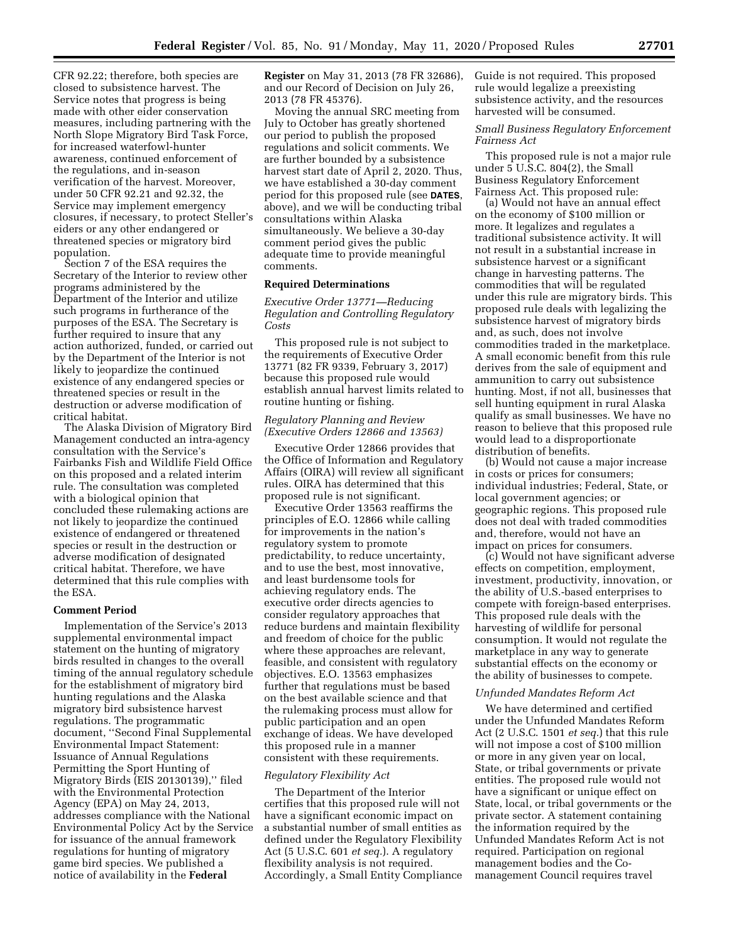CFR 92.22; therefore, both species are closed to subsistence harvest. The Service notes that progress is being made with other eider conservation measures, including partnering with the North Slope Migratory Bird Task Force, for increased waterfowl-hunter awareness, continued enforcement of the regulations, and in-season verification of the harvest. Moreover, under 50 CFR 92.21 and 92.32, the Service may implement emergency closures, if necessary, to protect Steller's eiders or any other endangered or threatened species or migratory bird population.

Section 7 of the ESA requires the Secretary of the Interior to review other programs administered by the Department of the Interior and utilize such programs in furtherance of the purposes of the ESA. The Secretary is further required to insure that any action authorized, funded, or carried out by the Department of the Interior is not likely to jeopardize the continued existence of any endangered species or threatened species or result in the destruction or adverse modification of critical habitat.

The Alaska Division of Migratory Bird Management conducted an intra-agency consultation with the Service's Fairbanks Fish and Wildlife Field Office on this proposed and a related interim rule. The consultation was completed with a biological opinion that concluded these rulemaking actions are not likely to jeopardize the continued existence of endangered or threatened species or result in the destruction or adverse modification of designated critical habitat. Therefore, we have determined that this rule complies with the ESA.

# **Comment Period**

Implementation of the Service's 2013 supplemental environmental impact statement on the hunting of migratory birds resulted in changes to the overall timing of the annual regulatory schedule for the establishment of migratory bird hunting regulations and the Alaska migratory bird subsistence harvest regulations. The programmatic document, ''Second Final Supplemental Environmental Impact Statement: Issuance of Annual Regulations Permitting the Sport Hunting of Migratory Birds (EIS 20130139),'' filed with the Environmental Protection Agency (EPA) on May 24, 2013, addresses compliance with the National Environmental Policy Act by the Service for issuance of the annual framework regulations for hunting of migratory game bird species. We published a notice of availability in the **Federal** 

**Register** on May 31, 2013 (78 FR 32686), and our Record of Decision on July 26, 2013 (78 FR 45376).

Moving the annual SRC meeting from July to October has greatly shortened our period to publish the proposed regulations and solicit comments. We are further bounded by a subsistence harvest start date of April 2, 2020. Thus, we have established a 30-day comment period for this proposed rule (see **DATES**, above), and we will be conducting tribal consultations within Alaska simultaneously. We believe a 30-day comment period gives the public adequate time to provide meaningful comments.

#### **Required Determinations**

*Executive Order 13771—Reducing Regulation and Controlling Regulatory Costs* 

This proposed rule is not subject to the requirements of Executive Order 13771 (82 FR 9339, February 3, 2017) because this proposed rule would establish annual harvest limits related to routine hunting or fishing.

### *Regulatory Planning and Review (Executive Orders 12866 and 13563)*

Executive Order 12866 provides that the Office of Information and Regulatory Affairs (OIRA) will review all significant rules. OIRA has determined that this proposed rule is not significant.

Executive Order 13563 reaffirms the principles of E.O. 12866 while calling for improvements in the nation's regulatory system to promote predictability, to reduce uncertainty, and to use the best, most innovative, and least burdensome tools for achieving regulatory ends. The executive order directs agencies to consider regulatory approaches that reduce burdens and maintain flexibility and freedom of choice for the public where these approaches are relevant, feasible, and consistent with regulatory objectives. E.O. 13563 emphasizes further that regulations must be based on the best available science and that the rulemaking process must allow for public participation and an open exchange of ideas. We have developed this proposed rule in a manner consistent with these requirements.

#### *Regulatory Flexibility Act*

The Department of the Interior certifies that this proposed rule will not have a significant economic impact on a substantial number of small entities as defined under the Regulatory Flexibility Act (5 U.S.C. 601 *et seq.*). A regulatory flexibility analysis is not required. Accordingly, a Small Entity Compliance Guide is not required. This proposed rule would legalize a preexisting subsistence activity, and the resources harvested will be consumed.

# *Small Business Regulatory Enforcement Fairness Act*

This proposed rule is not a major rule under 5 U.S.C. 804(2), the Small Business Regulatory Enforcement Fairness Act. This proposed rule:

(a) Would not have an annual effect on the economy of \$100 million or more. It legalizes and regulates a traditional subsistence activity. It will not result in a substantial increase in subsistence harvest or a significant change in harvesting patterns. The commodities that will be regulated under this rule are migratory birds. This proposed rule deals with legalizing the subsistence harvest of migratory birds and, as such, does not involve commodities traded in the marketplace. A small economic benefit from this rule derives from the sale of equipment and ammunition to carry out subsistence hunting. Most, if not all, businesses that sell hunting equipment in rural Alaska qualify as small businesses. We have no reason to believe that this proposed rule would lead to a disproportionate distribution of benefits.

(b) Would not cause a major increase in costs or prices for consumers; individual industries; Federal, State, or local government agencies; or geographic regions. This proposed rule does not deal with traded commodities and, therefore, would not have an impact on prices for consumers.

(c) Would not have significant adverse effects on competition, employment, investment, productivity, innovation, or the ability of U.S.-based enterprises to compete with foreign-based enterprises. This proposed rule deals with the harvesting of wildlife for personal consumption. It would not regulate the marketplace in any way to generate substantial effects on the economy or the ability of businesses to compete.

### *Unfunded Mandates Reform Act*

We have determined and certified under the Unfunded Mandates Reform Act (2 U.S.C. 1501 *et seq.*) that this rule will not impose a cost of \$100 million or more in any given year on local, State, or tribal governments or private entities. The proposed rule would not have a significant or unique effect on State, local, or tribal governments or the private sector. A statement containing the information required by the Unfunded Mandates Reform Act is not required. Participation on regional management bodies and the Comanagement Council requires travel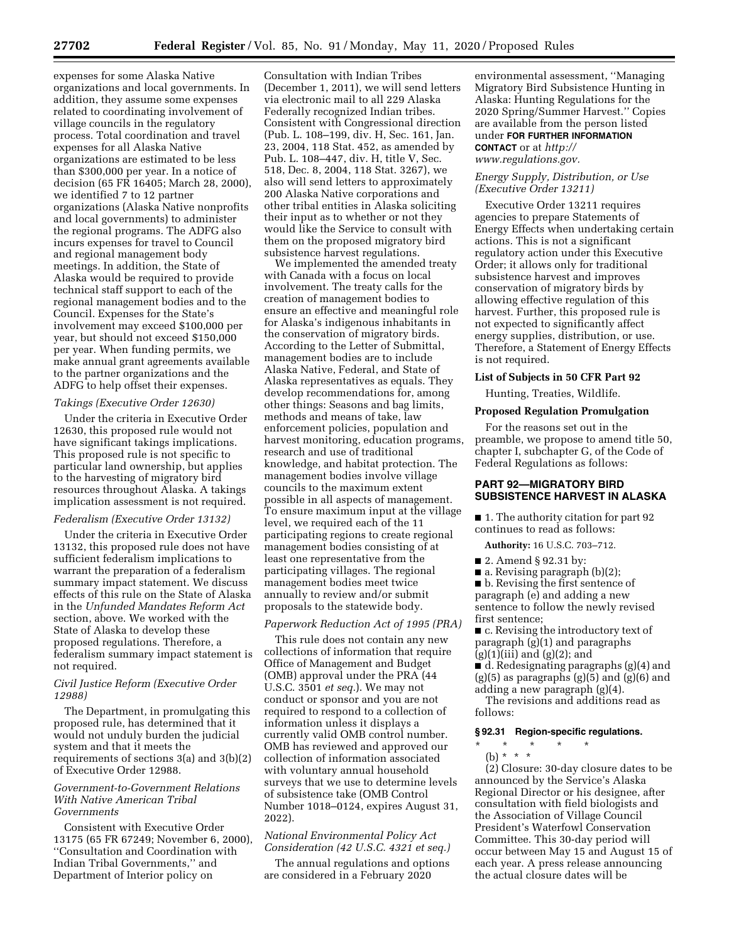expenses for some Alaska Native organizations and local governments. In addition, they assume some expenses related to coordinating involvement of village councils in the regulatory process. Total coordination and travel expenses for all Alaska Native organizations are estimated to be less than \$300,000 per year. In a notice of decision (65 FR 16405; March 28, 2000), we identified 7 to 12 partner organizations (Alaska Native nonprofits and local governments) to administer the regional programs. The ADFG also incurs expenses for travel to Council and regional management body meetings. In addition, the State of Alaska would be required to provide technical staff support to each of the regional management bodies and to the Council. Expenses for the State's involvement may exceed \$100,000 per year, but should not exceed \$150,000 per year. When funding permits, we make annual grant agreements available to the partner organizations and the ADFG to help offset their expenses.

#### *Takings (Executive Order 12630)*

Under the criteria in Executive Order 12630, this proposed rule would not have significant takings implications. This proposed rule is not specific to particular land ownership, but applies to the harvesting of migratory bird resources throughout Alaska. A takings implication assessment is not required.

# *Federalism (Executive Order 13132)*

Under the criteria in Executive Order 13132, this proposed rule does not have sufficient federalism implications to warrant the preparation of a federalism summary impact statement. We discuss effects of this rule on the State of Alaska in the *Unfunded Mandates Reform Act*  section, above. We worked with the State of Alaska to develop these proposed regulations. Therefore, a federalism summary impact statement is not required.

#### *Civil Justice Reform (Executive Order 12988)*

The Department, in promulgating this proposed rule, has determined that it would not unduly burden the judicial system and that it meets the requirements of sections 3(a) and 3(b)(2) of Executive Order 12988.

### *Government-to-Government Relations With Native American Tribal Governments*

Consistent with Executive Order 13175 (65 FR 67249; November 6, 2000), ''Consultation and Coordination with Indian Tribal Governments,'' and Department of Interior policy on

Consultation with Indian Tribes (December 1, 2011), we will send letters via electronic mail to all 229 Alaska Federally recognized Indian tribes. Consistent with Congressional direction (Pub. L. 108–199, div. H, Sec. 161, Jan. 23, 2004, 118 Stat. 452, as amended by Pub. L. 108–447, div. H, title V, Sec. 518, Dec. 8, 2004, 118 Stat. 3267), we also will send letters to approximately 200 Alaska Native corporations and other tribal entities in Alaska soliciting their input as to whether or not they would like the Service to consult with them on the proposed migratory bird subsistence harvest regulations.

We implemented the amended treaty with Canada with a focus on local involvement. The treaty calls for the creation of management bodies to ensure an effective and meaningful role for Alaska's indigenous inhabitants in the conservation of migratory birds. According to the Letter of Submittal, management bodies are to include Alaska Native, Federal, and State of Alaska representatives as equals. They develop recommendations for, among other things: Seasons and bag limits, methods and means of take, law enforcement policies, population and harvest monitoring, education programs, research and use of traditional knowledge, and habitat protection. The management bodies involve village councils to the maximum extent possible in all aspects of management. To ensure maximum input at the village level, we required each of the 11 participating regions to create regional management bodies consisting of at least one representative from the participating villages. The regional management bodies meet twice annually to review and/or submit proposals to the statewide body.

### *Paperwork Reduction Act of 1995 (PRA)*

This rule does not contain any new collections of information that require Office of Management and Budget (OMB) approval under the PRA (44 U.S.C. 3501 *et seq.*). We may not conduct or sponsor and you are not required to respond to a collection of information unless it displays a currently valid OMB control number. OMB has reviewed and approved our collection of information associated with voluntary annual household surveys that we use to determine levels of subsistence take (OMB Control Number 1018–0124, expires August 31, 2022).

# *National Environmental Policy Act Consideration (42 U.S.C. 4321 et seq.)*

The annual regulations and options are considered in a February 2020

environmental assessment, ''Managing Migratory Bird Subsistence Hunting in Alaska: Hunting Regulations for the 2020 Spring/Summer Harvest.'' Copies are available from the person listed under **FOR FURTHER INFORMATION CONTACT** or at *[http://](http://www.regulations.gov)*

*[www.regulations.gov.](http://www.regulations.gov)* 

# *Energy Supply, Distribution, or Use (Executive Order 13211)*

Executive Order 13211 requires agencies to prepare Statements of Energy Effects when undertaking certain actions. This is not a significant regulatory action under this Executive Order; it allows only for traditional subsistence harvest and improves conservation of migratory birds by allowing effective regulation of this harvest. Further, this proposed rule is not expected to significantly affect energy supplies, distribution, or use. Therefore, a Statement of Energy Effects is not required.

### **List of Subjects in 50 CFR Part 92**

Hunting, Treaties, Wildlife.

#### **Proposed Regulation Promulgation**

For the reasons set out in the preamble, we propose to amend title 50, chapter I, subchapter G, of the Code of Federal Regulations as follows:

# **PART 92—MIGRATORY BIRD SUBSISTENCE HARVEST IN ALASKA**

■ 1. The authority citation for part 92 continues to read as follows:

**Authority:** 16 U.S.C. 703–712.

- 2. Amend § 92.31 by:
- a. Revising paragraph (b)(2);

■ b. Revising the first sentence of paragraph (e) and adding a new sentence to follow the newly revised first sentence;

■ c. Revising the introductory text of paragraph (g)(1) and paragraphs  $(g)(1)(iii)$  and  $(g)(2)$ ; and

 $\blacksquare$  d. Redesignating paragraphs (g)(4) and  $(g)(5)$  as paragraphs  $(g)(5)$  and  $(g)(6)$  and adding a new paragraph (g)(4).

The revisions and additions read as follows:

### **§ 92.31 Region-specific regulations.**

\* \* \* \* \*  $(b) * * * *$ 

(2) Closure: 30-day closure dates to be announced by the Service's Alaska Regional Director or his designee, after consultation with field biologists and the Association of Village Council President's Waterfowl Conservation Committee. This 30-day period will occur between May 15 and August 15 of each year. A press release announcing the actual closure dates will be